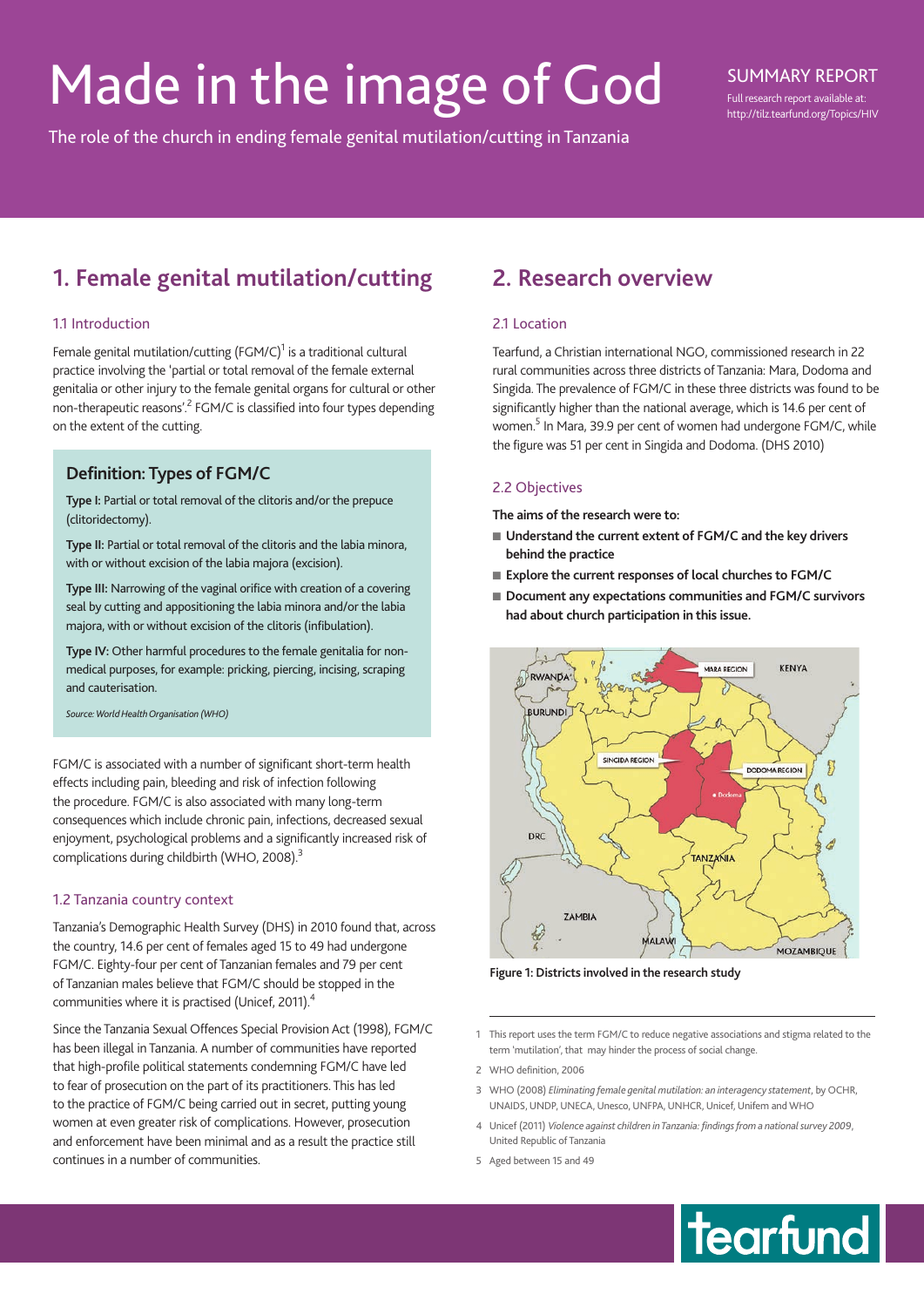# Made in the image of God

The role of the church in ending female genital mutilation/cutting in Tanzania

# SUMMARY REPORT

Full research report available at: http://tilz.tearfund.org/Topics/HIV

# **1. Female genital mutilation/cutting**

## 11 Introduction

Female genital mutilation/cutting  $(FGM/C)^{1}$  is a traditional cultural practice involving the 'partial or total removal of the female external genitalia or other injury to the female genital organs for cultural or other non-therapeutic reasons'.<sup>2</sup> FGM/C is classified into four types depending on the extent of the cutting.

# **Definition: Types of FGM/C**

**Type I:** Partial or total removal of the clitoris and/or the prepuce (clitoridectomy).

**Type II:** Partial or total removal of the clitoris and the labia minora, with or without excision of the labia majora (excision).

**Type III:** Narrowing of the vaginal orifice with creation of a covering seal by cutting and appositioning the labia minora and/or the labia majora, with or without excision of the clitoris (infibulation).

**Type IV:** Other harmful procedures to the female genitalia for nonmedical purposes, for example: pricking, piercing, incising, scraping and cauterisation.

*Source: World Health Organisation (WHO)*

FGM/C is associated with a number of significant short-term health effects including pain, bleeding and risk of infection following the procedure. FGM/C is also associated with many long-term consequences which include chronic pain, infections, decreased sexual enjoyment, psychological problems and a significantly increased risk of complications during childbirth (WHO, 2008).<sup>3</sup>

## 1.2 Tanzania country context

Tanzania's Demographic Health Survey (DHS) in 2010 found that, across the country, 14.6 per cent of females aged 15 to 49 had undergone FGM/C. Eighty-four per cent of Tanzanian females and 79 per cent of Tanzanian males believe that FGM/C should be stopped in the communities where it is practised (Unicef, 2011).<sup>4</sup>

Since the Tanzania Sexual Offences Special Provision Act (1998), FGM/C has been illegal in Tanzania. A number of communities have reported that high-profile political statements condemning FGM/C have led to fear of prosecution on the part of its practitioners. This has led to the practice of FGM/C being carried out in secret, putting young women at even greater risk of complications. However, prosecution and enforcement have been minimal and as a result the practice still continues in a number of communities.

# **2. Research overview**

# 21 Location

Tearfund, a Christian international NGO, commissioned research in 22 rural communities across three districts of Tanzania: Mara, Dodoma and Singida. The prevalence of FGM/C in these three districts was found to be significantly higher than the national average, which is 14.6 per cent of women.<sup>5</sup> In Mara, 39.9 per cent of women had undergone FGM/C, while the figure was 51 per cent in Singida and Dodoma. (DHS 2010)

# 2.2 Objectives

**The aims of the research were to:**

- Understand the current extent of FGM/C and the key drivers **behind the practice**
- Explore the current responses of local churches to FGM/C
- Document any expectations communities and FGM/C survivors **had about church participation in this issue.**



**Figure 1: Districts involved in the research study**

- 1 This report uses the term FGM/C to reduce negative associations and stigma related to the term 'mutilation', that may hinder the process of social change.
- 2 WHO definition, 2006
- 3 WHO (2008) *Eliminating female genital mutilation: an interagency statement*, by OCHR, UNAIDS, UNDP, UNECA, Unesco, UNFPA, UNHCR, Unicef, Unifem and WHO
- 4 Unicef (2011) *Violence against children in Tanzania: findings from a national survey 2009*, United Republic of Tanzania
- 5 Aged between 15 and 49

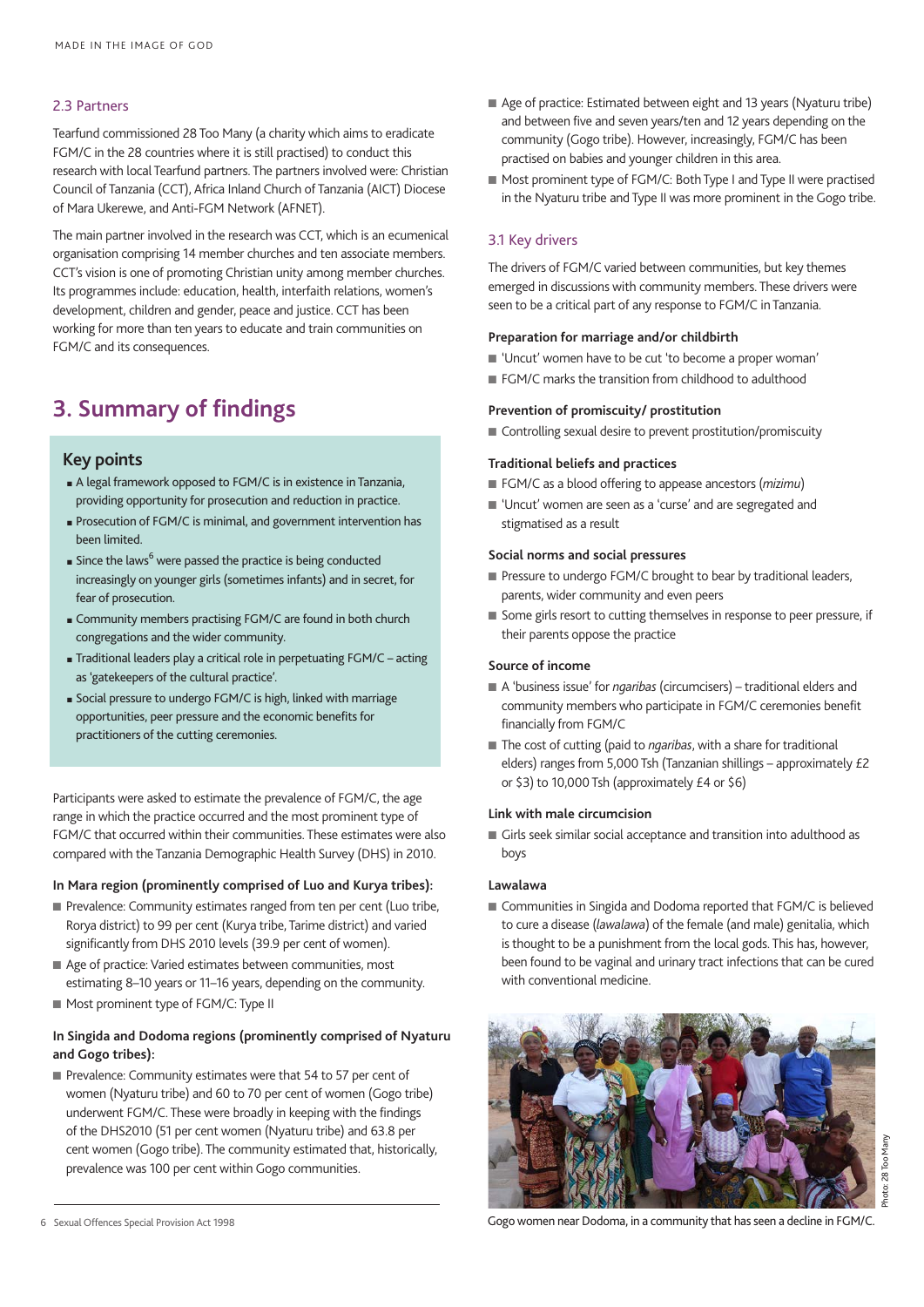#### 2.3 Partners

Tearfund commissioned 28 Too Many (a charity which aims to eradicate FGM/C in the 28 countries where it is still practised) to conduct this research with local Tearfund partners. The partners involved were: Christian Council of Tanzania (CCT), Africa Inland Church of Tanzania (AICT) Diocese of Mara Ukerewe, and Anti-FGM Network (AFNET).

The main partner involved in the research was CCT, which is an ecumenical organisation comprising 14 member churches and ten associate members. CCT's vision is one of promoting Christian unity among member churches. Its programmes include: education, health, interfaith relations, women's development, children and gender, peace and justice. CCT has been working for more than ten years to educate and train communities on FGM/C and its consequences.

# **3. Summary of findings**

# **Key points**

- <sup>n</sup> A legal framework opposed to FGM/C is in existence in Tanzania, providing opportunity for prosecution and reduction in practice.
- <sup>n</sup> Prosecution of FGM/C is minimal, and government intervention has been limited.
- $\blacksquare$  Since the laws $^6$  were passed the practice is being conducted increasingly on younger girls (sometimes infants) and in secret, for fear of prosecution.
- <sup>n</sup> Community members practising FGM/C are found in both church congregations and the wider community.
- <sup>n</sup> Traditional leaders play a critical role in perpetuating FGM/C acting as 'gatekeepers of the cultural practice'.
- <sup>n</sup> Social pressure to undergo FGM/C is high, linked with marriage opportunities, peer pressure and the economic benefits for practitioners of the cutting ceremonies.

Participants were asked to estimate the prevalence of FGM/C, the age range in which the practice occurred and the most prominent type of FGM/C that occurred within their communities. These estimates were also compared with the Tanzania Demographic Health Survey (DHS) in 2010.

#### **In Mara region (prominently comprised of Luo and Kurya tribes):**

- Prevalence: Community estimates ranged from ten per cent (Luo tribe, Rorya district) to 99 per cent (Kurya tribe, Tarime district) and varied significantly from DHS 2010 levels (39.9 per cent of women).
- Age of practice: Varied estimates between communities, most estimating 8–10 years or 11–16 years, depending on the community.
- $\blacksquare$  Most prominent type of FGM/C: Type II

### **In Singida and Dodoma regions (prominently comprised of Nyaturu and Gogo tribes):**

Prevalence: Community estimates were that 54 to 57 per cent of women (Nyaturu tribe) and 60 to 70 per cent of women (Gogo tribe) underwent FGM/C. These were broadly in keeping with the findings of the DHS2010 (51 per cent women (Nyaturu tribe) and 63.8 per cent women (Gogo tribe). The community estimated that, historically, prevalence was 100 per cent within Gogo communities.

- Age of practice: Estimated between eight and 13 years (Nyaturu tribe) and between five and seven years/ten and 12 years depending on the community (Gogo tribe). However, increasingly, FGM/C has been practised on babies and younger children in this area.
- Most prominent type of FGM/C: Both Type I and Type II were practised in the Nyaturu tribe and Type II was more prominent in the Gogo tribe.

## 3.1 Key drivers

The drivers of FGM/C varied between communities, but key themes emerged in discussions with community members. These drivers were seen to be a critical part of any response to FGM/C in Tanzania.

#### **Preparation for marriage and/or childbirth**

- n 'Uncut' women have to be cut 'to become a proper woman'
- FGM/C marks the transition from childhood to adulthood

#### **Prevention of promiscuity/ prostitution**

■ Controlling sexual desire to prevent prostitution/promiscuity

#### **Traditional beliefs and practices**

- FGM/C as a blood offering to appease ancestors (*mizimu*)
- 'Uncut' women are seen as a 'curse' and are segregated and stigmatised as a result

#### **Social norms and social pressures**

- $\blacksquare$  Pressure to undergo FGM/C brought to bear by traditional leaders, parents, wider community and even peers
- Some girls resort to cutting themselves in response to peer pressure, if their parents oppose the practice

#### **Source of income**

- A 'business issue' for *ngaribas* (circumcisers) traditional elders and community members who participate in FGM/C ceremonies benefit financially from FGM/C
- The cost of cutting (paid to *ngaribas*, with a share for traditional elders) ranges from 5,000 Tsh (Tanzanian shillings – approximately £2 or \$3) to 10,000 Tsh (approximately £4 or \$6)

#### **Link with male circumcision**

■ Girls seek similar social acceptance and transition into adulthood as boys

#### **Lawalawa**

■ Communities in Singida and Dodoma reported that FGM/C is believed to cure a disease (*lawalawa*) of the female (and male) genitalia, which is thought to be a punishment from the local gods. This has, however, been found to be vaginal and urinary tract infections that can be cured with conventional medicine.



Gogo women near Dodoma, in a community that has seen a decline in FGM/C.

<sup>6</sup> Sexual Offences Special Provision Act 1998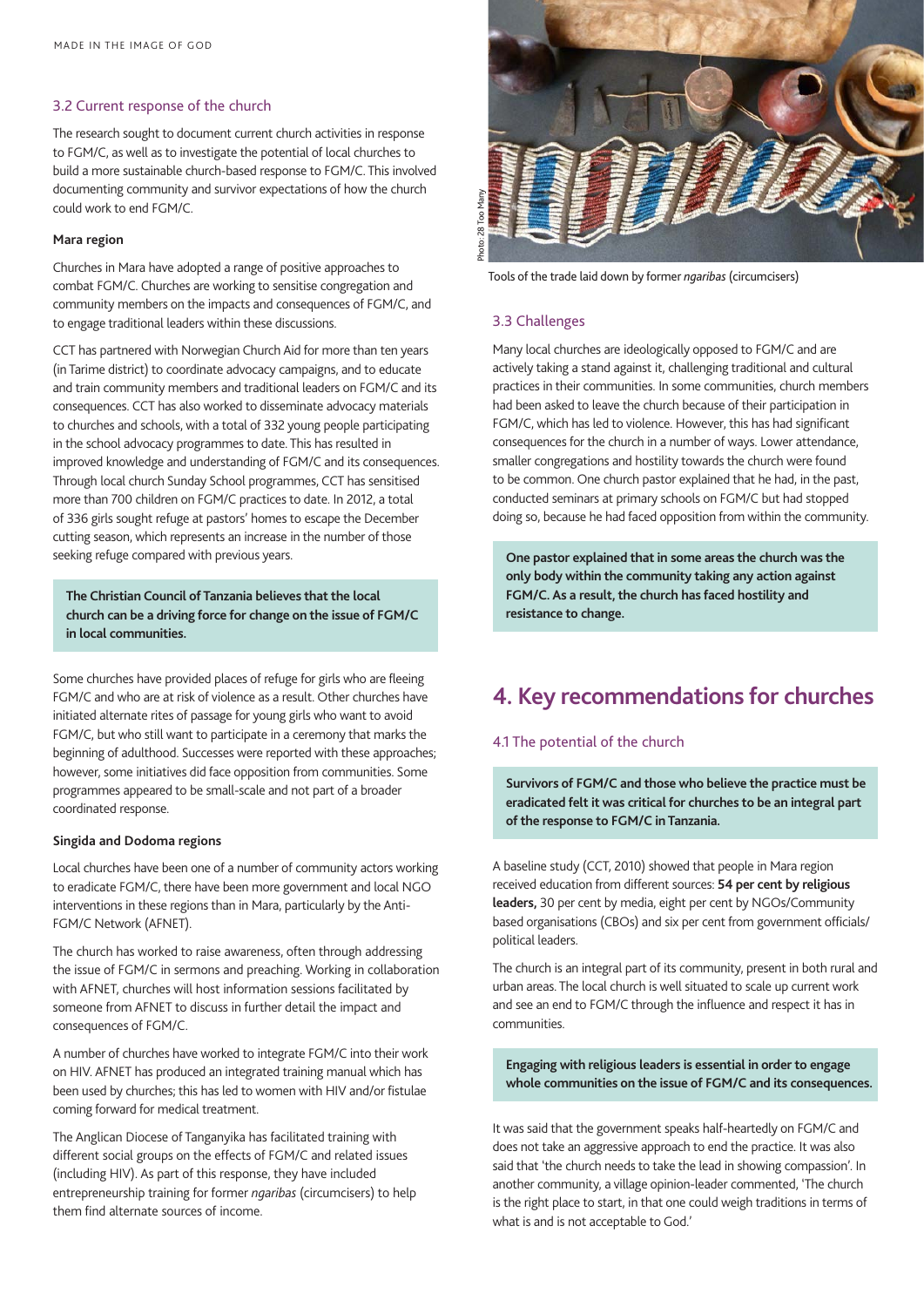#### 3.2 Current response of the church

The research sought to document current church activities in response to FGM/C, as well as to investigate the potential of local churches to build a more sustainable church-based response to FGM/C. This involved documenting community and survivor expectations of how the church could work to end FGM/C.

#### **Mara region**

Churches in Mara have adopted a range of positive approaches to combat FGM/C. Churches are working to sensitise congregation and community members on the impacts and consequences of FGM/C, and to engage traditional leaders within these discussions.

CCT has partnered with Norwegian Church Aid for more than ten years (in Tarime district) to coordinate advocacy campaigns, and to educate and train community members and traditional leaders on FGM/C and its consequences. CCT has also worked to disseminate advocacy materials to churches and schools, with a total of 332 young people participating in the school advocacy programmes to date. This has resulted in improved knowledge and understanding of FGM/C and its consequences. Through local church Sunday School programmes, CCT has sensitised more than 700 children on FGM/C practices to date. In 2012, a total of 336 girls sought refuge at pastors' homes to escape the December cutting season, which represents an increase in the number of those seeking refuge compared with previous years.

#### **The Christian Council of Tanzania believes that the local church can be a driving force for change on the issue of FGM/C in local communities.**

Some churches have provided places of refuge for girls who are fleeing FGM/C and who are at risk of violence as a result. Other churches have initiated alternate rites of passage for young girls who want to avoid FGM/C, but who still want to participate in a ceremony that marks the beginning of adulthood. Successes were reported with these approaches; however, some initiatives did face opposition from communities. Some programmes appeared to be small-scale and not part of a broader coordinated response.

#### **Singida and Dodoma regions**

Local churches have been one of a number of community actors working to eradicate FGM/C, there have been more government and local NGO interventions in these regions than in Mara, particularly by the Anti-FGM/C Network (AFNET).

The church has worked to raise awareness, often through addressing the issue of FGM/C in sermons and preaching. Working in collaboration with AFNET, churches will host information sessions facilitated by someone from AFNET to discuss in further detail the impact and consequences of FGM/C.

A number of churches have worked to integrate FGM/C into their work on HIV. AFNET has produced an integrated training manual which has been used by churches; this has led to women with HIV and/or fistulae coming forward for medical treatment.

The Anglican Diocese of Tanganyika has facilitated training with different social groups on the effects of FGM/C and related issues (including HIV). As part of this response, they have included entrepreneurship training for former *ngaribas* (circumcisers) to help them find alternate sources of income.



Tools of the trade laid down by former *ngaribas* (circumcisers)

### 3.3 Challenges

Many local churches are ideologically opposed to FGM/C and are actively taking a stand against it, challenging traditional and cultural practices in their communities. In some communities, church members had been asked to leave the church because of their participation in FGM/C, which has led to violence. However, this has had significant consequences for the church in a number of ways. Lower attendance, smaller congregations and hostility towards the church were found to be common. One church pastor explained that he had, in the past, conducted seminars at primary schools on FGM/C but had stopped doing so, because he had faced opposition from within the community.

**One pastor explained that in some areas the church was the only body within the community taking any action against FGM/C. As a result, the church has faced hostility and resistance to change.**

# **4. Key recommendations for churches**

#### 4.1 The potential of the church

**Survivors of FGM/C and those who believe the practice must be eradicated felt it was critical for churches to be an integral part of the response to FGM/C in Tanzania.**

A baseline study (CCT, 2010) showed that people in Mara region received education from different sources: **54 per cent by religious leaders,** 30 per cent by media, eight per cent by NGOs/Community based organisations (CBOs) and six per cent from government officials/ political leaders.

The church is an integral part of its community, present in both rural and urban areas. The local church is well situated to scale up current work and see an end to FGM/C through the influence and respect it has in communities.

**Engaging with religious leaders is essential in order to engage whole communities on the issue of FGM/C and its consequences.**

It was said that the government speaks half-heartedly on FGM/C and does not take an aggressive approach to end the practice. It was also said that 'the church needs to take the lead in showing compassion'. In another community, a village opinion-leader commented, 'The church is the right place to start, in that one could weigh traditions in terms of what is and is not acceptable to God.'